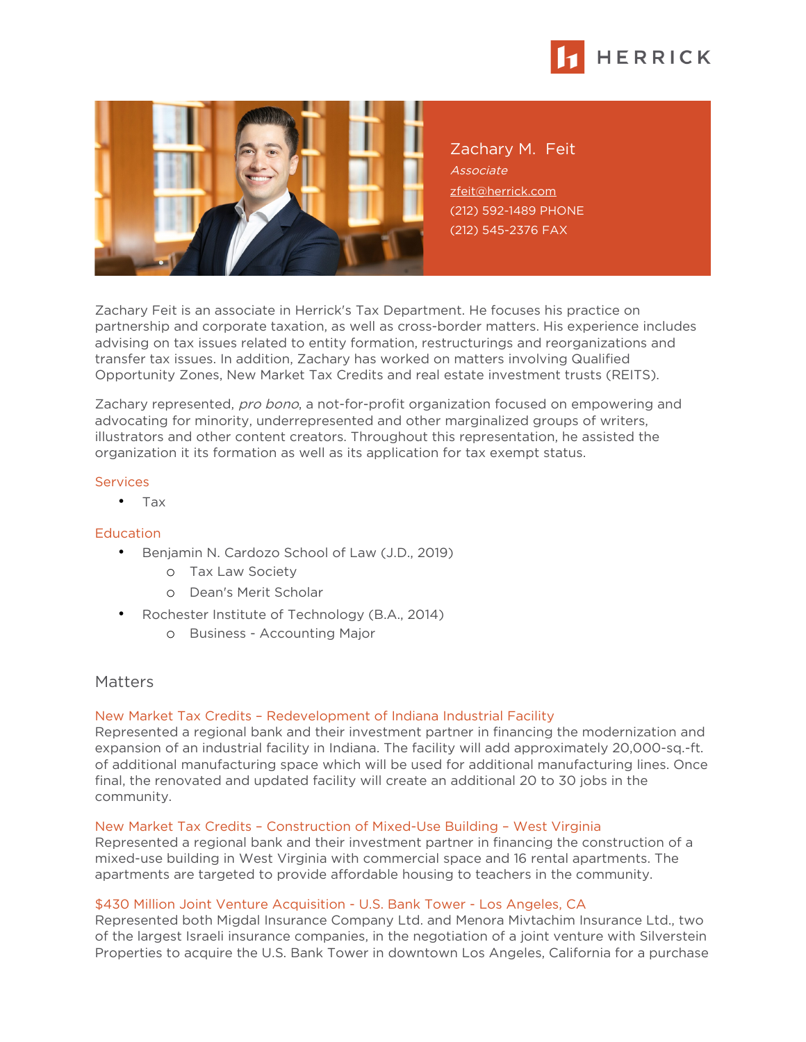



Zachary M. Feit Associate [zfeit@herrick.com](mailto:zfeit@herrick.com) (212) 592-1489 PHONE (212) 545-2376 FAX

Zachary Feit is an associate in Herrick's Tax Department. He focuses his practice on partnership and corporate taxation, as well as cross-border matters. His experience includes advising on tax issues related to entity formation, restructurings and reorganizations and transfer tax issues. In addition, Zachary has worked on matters involving Qualified Opportunity Zones, New Market Tax Credits and real estate investment trusts (REITS).

Zachary represented, pro bono, a not-for-profit organization focused on empowering and advocating for minority, underrepresented and other marginalized groups of writers, illustrators and other content creators. Throughout this representation, he assisted the organization it its formation as well as its application for tax exempt status.

#### Services

• Tax

# **Education**

- Benjamin N. Cardozo School of Law (J.D., 2019)
	- o Tax Law Society
	- o Dean's Merit Scholar
- Rochester Institute of Technology (B.A., 2014)
	- o Business Accounting Major

# **Matters**

# New Market Tax Credits – Redevelopment of Indiana Industrial Facility

Represented a regional bank and their investment partner in financing the modernization and expansion of an industrial facility in Indiana. The facility will add approximately 20,000-sq.-ft. of additional manufacturing space which will be used for additional manufacturing lines. Once final, the renovated and updated facility will create an additional 20 to 30 jobs in the community.

# New Market Tax Credits – Construction of Mixed-Use Building – West Virginia

Represented a regional bank and their investment partner in financing the construction of a mixed-use building in West Virginia with commercial space and 16 rental apartments. The apartments are targeted to provide affordable housing to teachers in the community.

# \$430 Million Joint Venture Acquisition - U.S. Bank Tower - Los Angeles, CA

Represented both Migdal Insurance Company Ltd. and Menora Mivtachim Insurance Ltd., two of the largest Israeli insurance companies, in the negotiation of a joint venture with Silverstein Properties to acquire the U.S. Bank Tower in downtown Los Angeles, California for a purchase